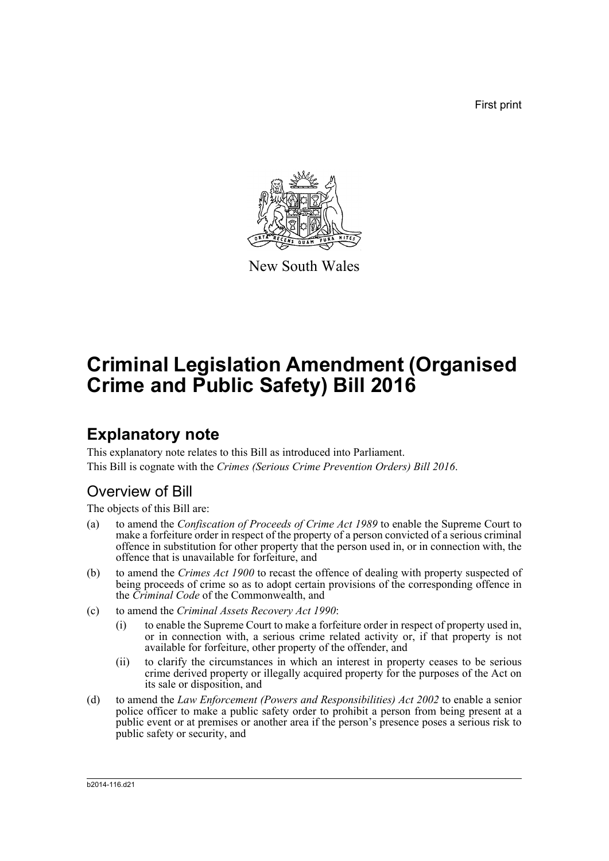First print



New South Wales

# **Criminal Legislation Amendment (Organised Crime and Public Safety) Bill 2016**

# **Explanatory note**

This explanatory note relates to this Bill as introduced into Parliament. This Bill is cognate with the *Crimes (Serious Crime Prevention Orders) Bill 2016*.

## Overview of Bill

The objects of this Bill are:

- (a) to amend the *Confiscation of Proceeds of Crime Act 1989* to enable the Supreme Court to make a forfeiture order in respect of the property of a person convicted of a serious criminal offence in substitution for other property that the person used in, or in connection with, the offence that is unavailable for forfeiture, and
- (b) to amend the *Crimes Act 1900* to recast the offence of dealing with property suspected of being proceeds of crime so as to adopt certain provisions of the corresponding offence in the *Criminal Code* of the Commonwealth, and
- (c) to amend the *Criminal Assets Recovery Act 1990*:
	- (i) to enable the Supreme Court to make a forfeiture order in respect of property used in, or in connection with, a serious crime related activity or, if that property is not available for forfeiture, other property of the offender, and
	- (ii) to clarify the circumstances in which an interest in property ceases to be serious crime derived property or illegally acquired property for the purposes of the Act on its sale or disposition, and
- (d) to amend the *Law Enforcement (Powers and Responsibilities) Act 2002* to enable a senior police officer to make a public safety order to prohibit a person from being present at a public event or at premises or another area if the person's presence poses a serious risk to public safety or security, and

b2014-116.d21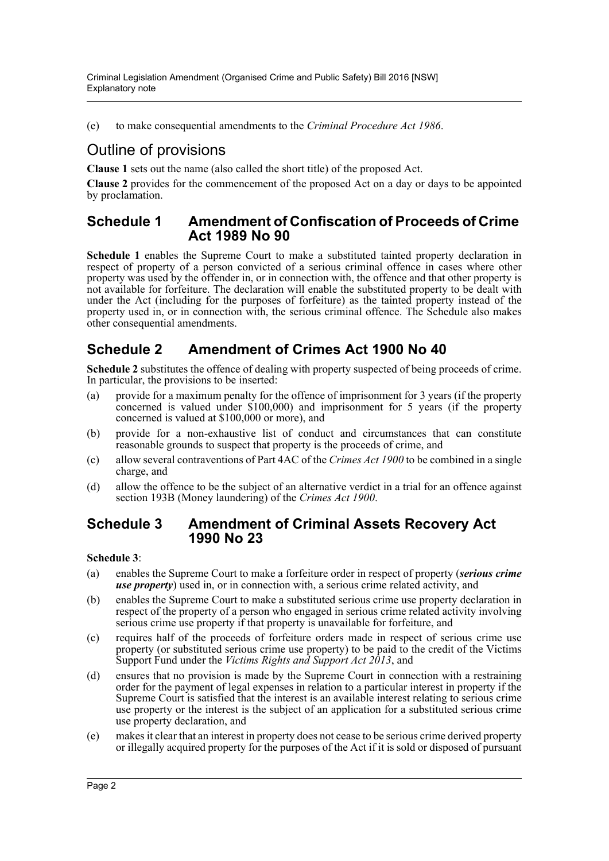(e) to make consequential amendments to the *Criminal Procedure Act 1986*.

## Outline of provisions

**Clause 1** sets out the name (also called the short title) of the proposed Act.

**Clause 2** provides for the commencement of the proposed Act on a day or days to be appointed by proclamation.

### **Schedule 1 Amendment of Confiscation of Proceeds of Crime Act 1989 No 90**

**Schedule 1** enables the Supreme Court to make a substituted tainted property declaration in respect of property of a person convicted of a serious criminal offence in cases where other property was used by the offender in, or in connection with, the offence and that other property is not available for forfeiture. The declaration will enable the substituted property to be dealt with under the Act (including for the purposes of forfeiture) as the tainted property instead of the property used in, or in connection with, the serious criminal offence. The Schedule also makes other consequential amendments.

## **Schedule 2 Amendment of Crimes Act 1900 No 40**

**Schedule 2** substitutes the offence of dealing with property suspected of being proceeds of crime. In particular, the provisions to be inserted:

- (a) provide for a maximum penalty for the offence of imprisonment for 3 years (if the property concerned is valued under \$100,000) and imprisonment for 5 years (if the property concerned is valued at \$100,000 or more), and
- (b) provide for a non-exhaustive list of conduct and circumstances that can constitute reasonable grounds to suspect that property is the proceeds of crime, and
- (c) allow several contraventions of Part 4AC of the *Crimes Act 1900* to be combined in a single charge, and
- (d) allow the offence to be the subject of an alternative verdict in a trial for an offence against section 193B (Money laundering) of the *Crimes Act 1900*.

## **Schedule 3 Amendment of Criminal Assets Recovery Act 1990 No 23**

### **Schedule 3**:

- (a) enables the Supreme Court to make a forfeiture order in respect of property (*serious crime use property*) used in, or in connection with, a serious crime related activity, and
- (b) enables the Supreme Court to make a substituted serious crime use property declaration in respect of the property of a person who engaged in serious crime related activity involving serious crime use property if that property is unavailable for forfeiture, and
- (c) requires half of the proceeds of forfeiture orders made in respect of serious crime use property (or substituted serious crime use property) to be paid to the credit of the Victims Support Fund under the *Victims Rights and Support Act 2013*, and
- (d) ensures that no provision is made by the Supreme Court in connection with a restraining order for the payment of legal expenses in relation to a particular interest in property if the Supreme Court is satisfied that the interest is an available interest relating to serious crime use property or the interest is the subject of an application for a substituted serious crime use property declaration, and
- (e) makes it clear that an interest in property does not cease to be serious crime derived property or illegally acquired property for the purposes of the Act if it is sold or disposed of pursuant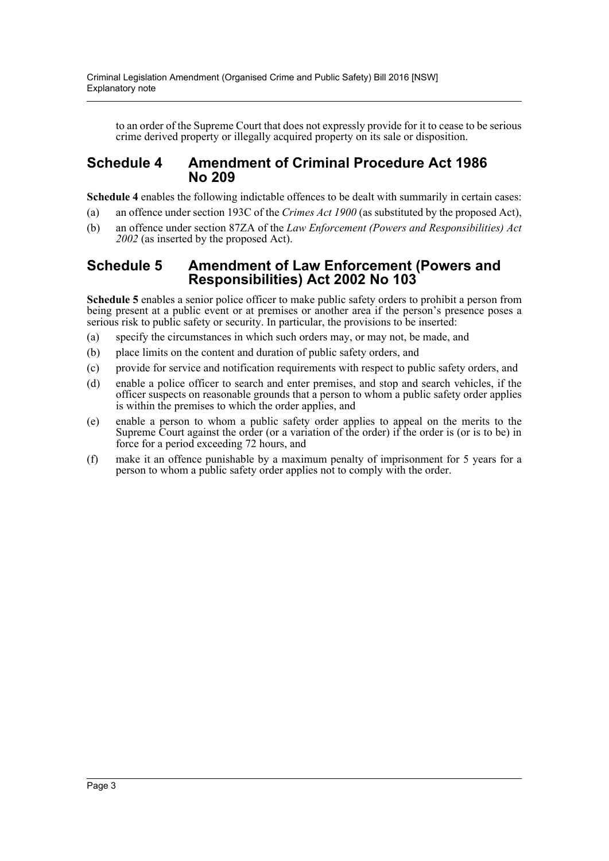to an order of the Supreme Court that does not expressly provide for it to cease to be serious crime derived property or illegally acquired property on its sale or disposition.

## **Schedule 4 Amendment of Criminal Procedure Act 1986 No 209**

**Schedule 4** enables the following indictable offences to be dealt with summarily in certain cases:

- (a) an offence under section 193C of the *Crimes Act 1900* (as substituted by the proposed Act),
- (b) an offence under section 87ZA of the *Law Enforcement (Powers and Responsibilities) Act 2002* (as inserted by the proposed Act).

### **Schedule 5 Amendment of Law Enforcement (Powers and Responsibilities) Act 2002 No 103**

**Schedule 5** enables a senior police officer to make public safety orders to prohibit a person from being present at a public event or at premises or another area if the person's presence poses a serious risk to public safety or security. In particular, the provisions to be inserted:

- (a) specify the circumstances in which such orders may, or may not, be made, and
- (b) place limits on the content and duration of public safety orders, and
- (c) provide for service and notification requirements with respect to public safety orders, and
- (d) enable a police officer to search and enter premises, and stop and search vehicles, if the officer suspects on reasonable grounds that a person to whom a public safety order applies is within the premises to which the order applies, and
- (e) enable a person to whom a public safety order applies to appeal on the merits to the Supreme Court against the order (or a variation of the order) if the order is (or is to be) in force for a period exceeding 72 hours, and
- (f) make it an offence punishable by a maximum penalty of imprisonment for 5 years for a person to whom a public safety order applies not to comply with the order.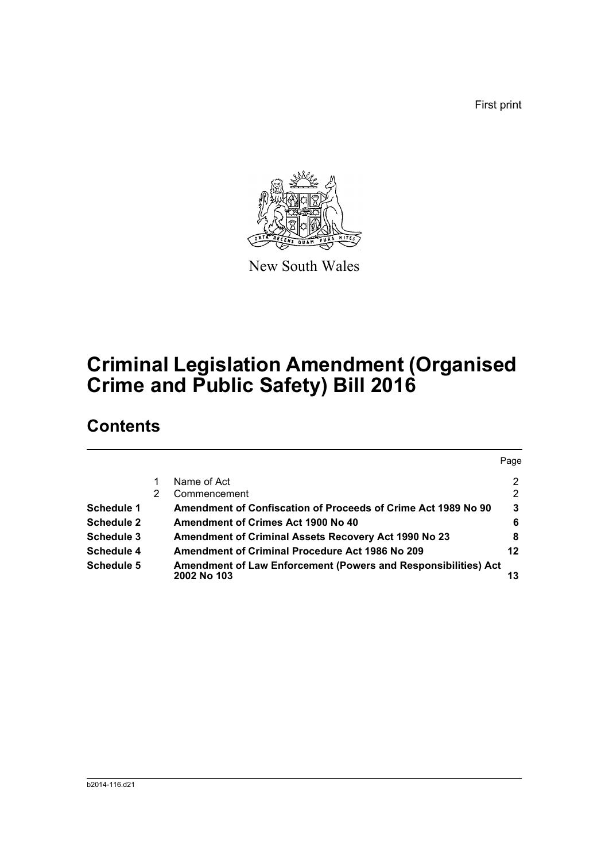First print



New South Wales

# **Criminal Legislation Amendment (Organised Crime and Public Safety) Bill 2016**

# **Contents**

|                   |                                                                                             | Page           |
|-------------------|---------------------------------------------------------------------------------------------|----------------|
|                   | Name of Act                                                                                 | $\overline{2}$ |
|                   | Commencement                                                                                | 2              |
| <b>Schedule 1</b> | Amendment of Confiscation of Proceeds of Crime Act 1989 No 90                               | 3              |
| <b>Schedule 2</b> | Amendment of Crimes Act 1900 No 40                                                          | 6              |
| Schedule 3        | <b>Amendment of Criminal Assets Recovery Act 1990 No 23</b>                                 | 8              |
| Schedule 4        | Amendment of Criminal Procedure Act 1986 No 209                                             | 12             |
| Schedule 5        | <b>Amendment of Law Enforcement (Powers and Responsibilities) Act</b><br><b>2002 No 103</b> | 13             |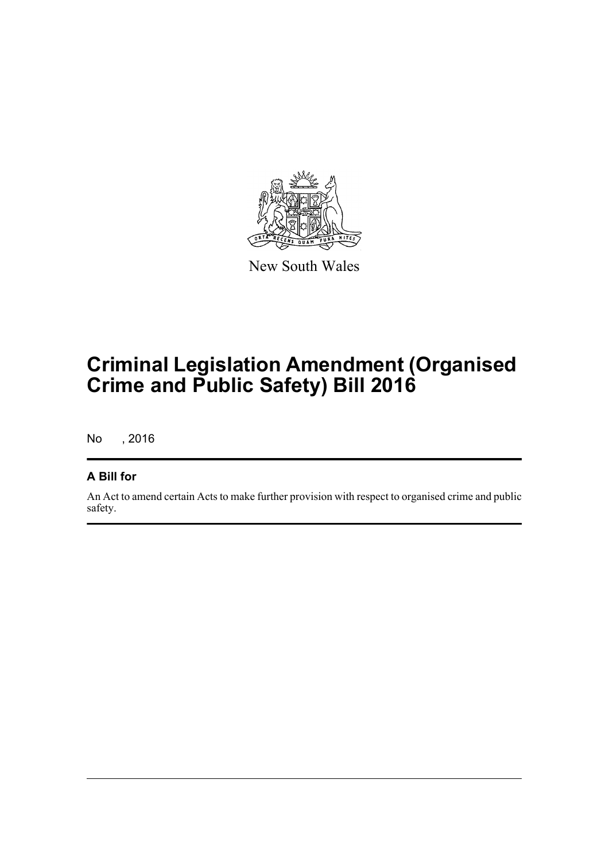

New South Wales

# **Criminal Legislation Amendment (Organised Crime and Public Safety) Bill 2016**

No , 2016

## **A Bill for**

An Act to amend certain Acts to make further provision with respect to organised crime and public safety.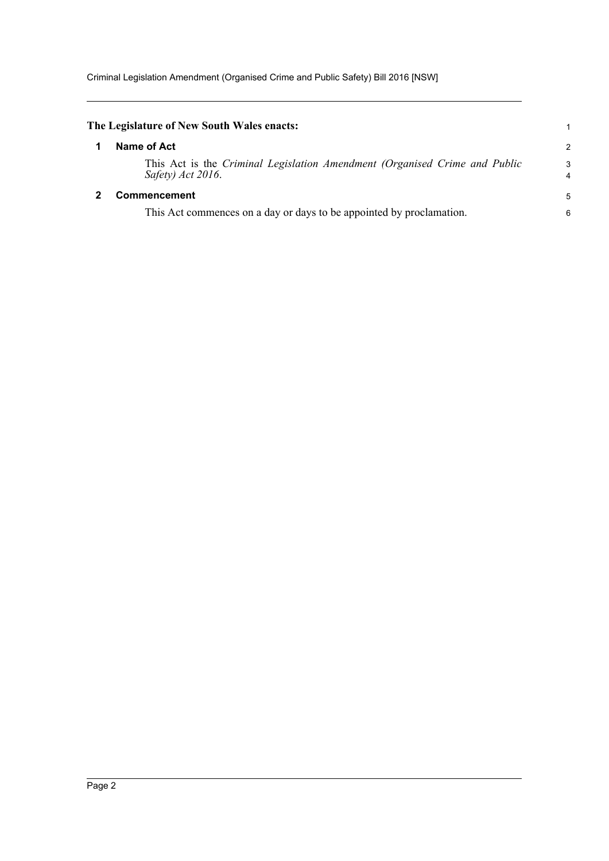<span id="page-5-1"></span><span id="page-5-0"></span>

| $\overline{c}$      |
|---------------------|
| 3<br>$\overline{4}$ |
| 5                   |
| 6                   |
|                     |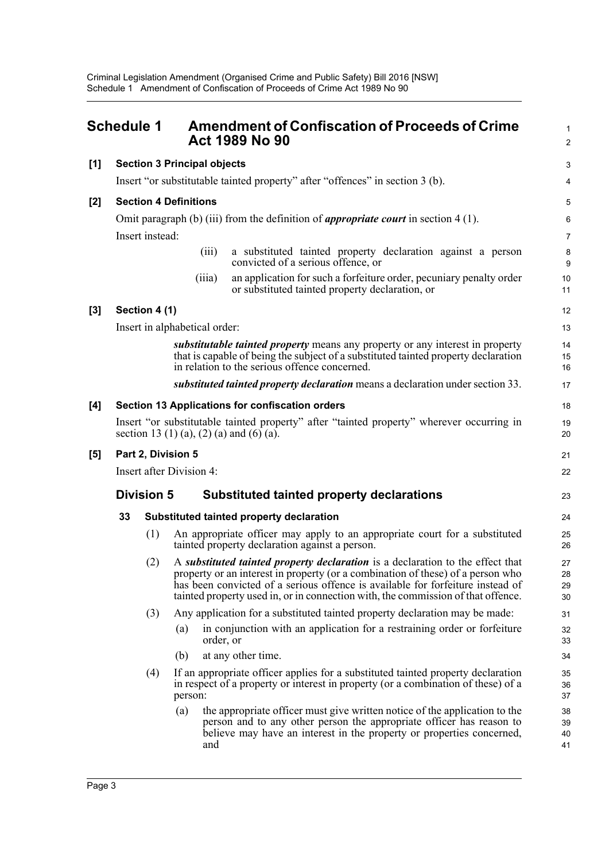<span id="page-6-0"></span>

|       | <b>Schedule 1</b>        |                   |                                    | <b>Amendment of Confiscation of Proceeds of Crime</b><br><b>Act 1989 No 90</b>                                                                                                                                                                                                                                                          | $\mathbf{1}$<br>$\overline{c}$ |  |
|-------|--------------------------|-------------------|------------------------------------|-----------------------------------------------------------------------------------------------------------------------------------------------------------------------------------------------------------------------------------------------------------------------------------------------------------------------------------------|--------------------------------|--|
| [1]   |                          |                   | <b>Section 3 Principal objects</b> |                                                                                                                                                                                                                                                                                                                                         | 3                              |  |
|       |                          |                   |                                    | Insert "or substitutable tainted property" after "offences" in section 3 (b).                                                                                                                                                                                                                                                           | $\overline{\mathbf{4}}$        |  |
| $[2]$ |                          |                   | <b>Section 4 Definitions</b>       |                                                                                                                                                                                                                                                                                                                                         | 5                              |  |
|       |                          |                   |                                    | Omit paragraph (b) (iii) from the definition of <i>appropriate court</i> in section $4(1)$ .                                                                                                                                                                                                                                            | 6                              |  |
|       |                          | Insert instead:   |                                    |                                                                                                                                                                                                                                                                                                                                         | 7                              |  |
|       |                          |                   | (iii)                              | a substituted tainted property declaration against a person<br>convicted of a serious offence, or                                                                                                                                                                                                                                       | 8<br>9                         |  |
|       |                          |                   | (iii)                              | an application for such a forfeiture order, pecuniary penalty order<br>or substituted tainted property declaration, or                                                                                                                                                                                                                  | 10<br>11                       |  |
| $[3]$ |                          | Section 4 (1)     |                                    |                                                                                                                                                                                                                                                                                                                                         | 12                             |  |
|       |                          |                   | Insert in alphabetical order:      |                                                                                                                                                                                                                                                                                                                                         | 13                             |  |
|       |                          |                   |                                    | substitutable tainted property means any property or any interest in property<br>that is capable of being the subject of a substituted tainted property declaration<br>in relation to the serious offence concerned.                                                                                                                    | 14<br>15<br>16                 |  |
|       |                          |                   |                                    | substituted tainted property declaration means a declaration under section 33.                                                                                                                                                                                                                                                          | 17                             |  |
| [4]   |                          |                   |                                    | Section 13 Applications for confiscation orders                                                                                                                                                                                                                                                                                         | 18                             |  |
|       |                          |                   |                                    | Insert "or substitutable tainted property" after "tainted property" wherever occurring in<br>section 13 (1) (a), (2) (a) and (6) (a).                                                                                                                                                                                                   | 19<br>20                       |  |
| [5]   | Part 2, Division 5       |                   |                                    |                                                                                                                                                                                                                                                                                                                                         |                                |  |
|       | Insert after Division 4: |                   |                                    |                                                                                                                                                                                                                                                                                                                                         |                                |  |
|       |                          | <b>Division 5</b> |                                    | <b>Substituted tainted property declarations</b>                                                                                                                                                                                                                                                                                        | 23                             |  |
|       | 33                       |                   |                                    | Substituted tainted property declaration                                                                                                                                                                                                                                                                                                | 24                             |  |
|       |                          | (1)               |                                    | An appropriate officer may apply to an appropriate court for a substituted<br>tainted property declaration against a person.                                                                                                                                                                                                            | 25<br>26                       |  |
|       |                          | (2)               |                                    | A substituted tainted property declaration is a declaration to the effect that<br>property or an interest in property (or a combination of these) of a person who<br>has been convicted of a serious offence is available for forfeiture instead of<br>tainted property used in, or in connection with, the commission of that offence. | 27<br>28<br>29<br>30           |  |
|       |                          | (3)               |                                    | Any application for a substituted tainted property declaration may be made:                                                                                                                                                                                                                                                             | 31                             |  |
|       |                          |                   | (a)<br>order, or                   | in conjunction with an application for a restraining order or forfeiture                                                                                                                                                                                                                                                                | 32<br>33                       |  |
|       |                          |                   | (b)                                | at any other time.                                                                                                                                                                                                                                                                                                                      | 34                             |  |
|       |                          | (4)               | person:                            | If an appropriate officer applies for a substituted tainted property declaration<br>in respect of a property or interest in property (or a combination of these) of a                                                                                                                                                                   | 35<br>36<br>37                 |  |
|       |                          |                   | (a)<br>and                         | the appropriate officer must give written notice of the application to the<br>person and to any other person the appropriate officer has reason to<br>believe may have an interest in the property or properties concerned,                                                                                                             | 38<br>39<br>40<br>41           |  |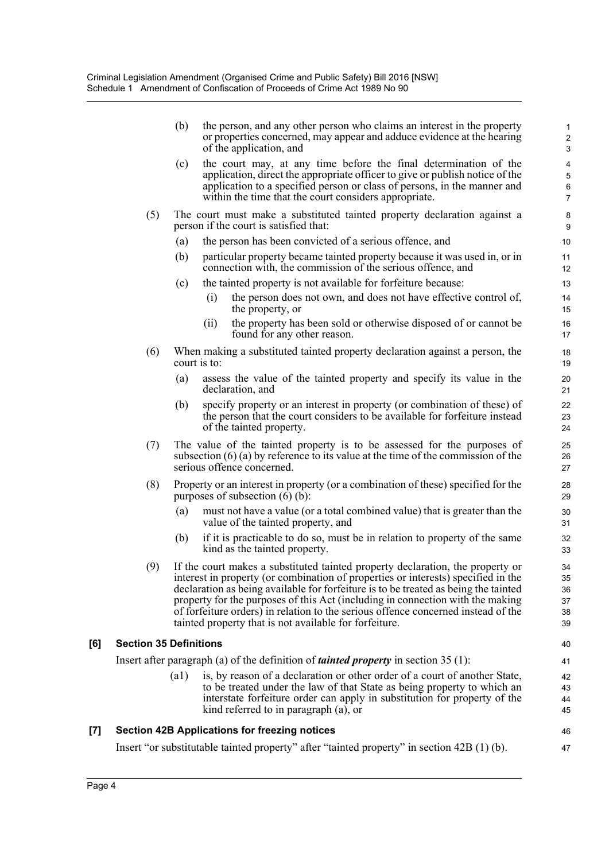|       |                               | (b)          | the person, and any other person who claims an interest in the property<br>or properties concerned, may appear and adduce evidence at the hearing<br>of the application, and                                                                                                                                                                                                                                                                                                                | $\mathbf{1}$<br>$\overline{c}$<br>$\mathsf 3$                          |
|-------|-------------------------------|--------------|---------------------------------------------------------------------------------------------------------------------------------------------------------------------------------------------------------------------------------------------------------------------------------------------------------------------------------------------------------------------------------------------------------------------------------------------------------------------------------------------|------------------------------------------------------------------------|
|       |                               | (c)          | the court may, at any time before the final determination of the<br>application, direct the appropriate officer to give or publish notice of the<br>application to a specified person or class of persons, in the manner and<br>within the time that the court considers appropriate.                                                                                                                                                                                                       | $\overline{\mathbf{4}}$<br>$\overline{5}$<br>$\,6\,$<br>$\overline{7}$ |
|       | (5)                           |              | The court must make a substituted tainted property declaration against a<br>person if the court is satisfied that:                                                                                                                                                                                                                                                                                                                                                                          | 8<br>9                                                                 |
|       |                               | (a)          | the person has been convicted of a serious offence, and                                                                                                                                                                                                                                                                                                                                                                                                                                     | 10                                                                     |
|       |                               | (b)          | particular property became tainted property because it was used in, or in<br>connection with, the commission of the serious offence, and                                                                                                                                                                                                                                                                                                                                                    | 11<br>12                                                               |
|       |                               | (c)          | the tainted property is not available for forfeiture because:                                                                                                                                                                                                                                                                                                                                                                                                                               | 13                                                                     |
|       |                               |              | the person does not own, and does not have effective control of,<br>(i)<br>the property, or                                                                                                                                                                                                                                                                                                                                                                                                 | 14<br>15                                                               |
|       |                               |              | the property has been sold or otherwise disposed of or cannot be<br>(ii)<br>found for any other reason.                                                                                                                                                                                                                                                                                                                                                                                     | 16<br>17                                                               |
|       | (6)                           | court is to: | When making a substituted tainted property declaration against a person, the                                                                                                                                                                                                                                                                                                                                                                                                                | 18<br>19                                                               |
|       |                               | (a)          | assess the value of the tainted property and specify its value in the<br>declaration, and                                                                                                                                                                                                                                                                                                                                                                                                   | 20<br>21                                                               |
|       |                               | (b)          | specify property or an interest in property (or combination of these) of<br>the person that the court considers to be available for forfeiture instead<br>of the tainted property.                                                                                                                                                                                                                                                                                                          | 22<br>23<br>24                                                         |
|       | (7)                           |              | The value of the tainted property is to be assessed for the purposes of<br>subsection $(6)$ (a) by reference to its value at the time of the commission of the<br>serious offence concerned.                                                                                                                                                                                                                                                                                                | 25<br>26<br>27                                                         |
|       | (8)                           |              | Property or an interest in property (or a combination of these) specified for the<br>purposes of subsection $(6)$ (b):                                                                                                                                                                                                                                                                                                                                                                      | 28<br>29                                                               |
|       |                               | (a)          | must not have a value (or a total combined value) that is greater than the<br>value of the tainted property, and                                                                                                                                                                                                                                                                                                                                                                            | 30<br>31                                                               |
|       |                               | (b)          | if it is practicable to do so, must be in relation to property of the same<br>kind as the tainted property.                                                                                                                                                                                                                                                                                                                                                                                 | 32<br>33                                                               |
|       | (9)                           |              | If the court makes a substituted tainted property declaration, the property or<br>interest in property (or combination of properties or interests) specified in the<br>declaration as being available for forfeiture is to be treated as being the tainted<br>property for the purposes of this Act (including in connection with the making<br>of forfeiture orders) in relation to the serious offence concerned instead of the<br>tainted property that is not available for forfeiture. | 34<br>35<br>36<br>37<br>38<br>39                                       |
| [6]   | <b>Section 35 Definitions</b> |              |                                                                                                                                                                                                                                                                                                                                                                                                                                                                                             | 40                                                                     |
|       |                               |              | Insert after paragraph (a) of the definition of <i>tainted property</i> in section $35(1)$ :                                                                                                                                                                                                                                                                                                                                                                                                | 41                                                                     |
|       |                               | (a1)         | is, by reason of a declaration or other order of a court of another State,<br>to be treated under the law of that State as being property to which an<br>interstate forfeiture order can apply in substitution for property of the<br>kind referred to in paragraph (a), or                                                                                                                                                                                                                 | 42<br>43<br>44<br>45                                                   |
| $[7]$ |                               |              | <b>Section 42B Applications for freezing notices</b>                                                                                                                                                                                                                                                                                                                                                                                                                                        | 46                                                                     |
|       |                               |              | Insert "or substitutable tainted property" after "tainted property" in section 42B (1) (b).                                                                                                                                                                                                                                                                                                                                                                                                 | 47                                                                     |
|       |                               |              |                                                                                                                                                                                                                                                                                                                                                                                                                                                                                             |                                                                        |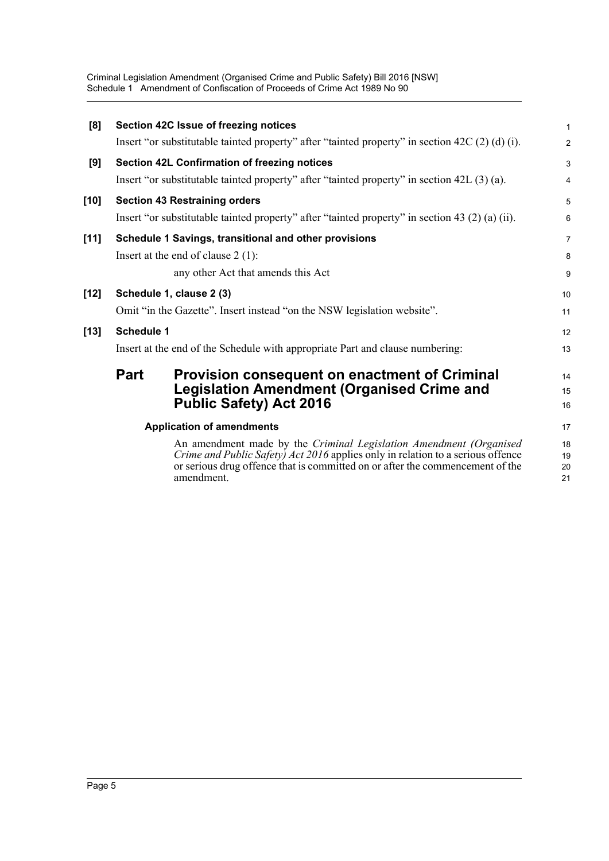Criminal Legislation Amendment (Organised Crime and Public Safety) Bill 2016 [NSW] Schedule 1 Amendment of Confiscation of Proceeds of Crime Act 1989 No 90

| [8]    |                   | Section 42C Issue of freezing notices                                                                                                                                                                                                                       | $\mathbf{1}$         |
|--------|-------------------|-------------------------------------------------------------------------------------------------------------------------------------------------------------------------------------------------------------------------------------------------------------|----------------------|
|        |                   | Insert "or substitutable tainted property" after "tainted property" in section $42C(2)$ (d) (i).                                                                                                                                                            | $\overline{c}$       |
| [9]    |                   | Section 42L Confirmation of freezing notices                                                                                                                                                                                                                | 3                    |
|        |                   | Insert "or substitutable tainted property" after "tainted property" in section $42L(3)(a)$ .                                                                                                                                                                | $\overline{4}$       |
| [10]   |                   | <b>Section 43 Restraining orders</b>                                                                                                                                                                                                                        | 5                    |
|        |                   | Insert "or substitutable tainted property" after "tainted property" in section 43 (2) (a) (ii).                                                                                                                                                             | 6                    |
| $[11]$ |                   | Schedule 1 Savings, transitional and other provisions                                                                                                                                                                                                       | $\overline{7}$       |
|        |                   | Insert at the end of clause $2(1)$ :                                                                                                                                                                                                                        | 8                    |
|        |                   | any other Act that amends this Act                                                                                                                                                                                                                          | 9                    |
| $[12]$ |                   | Schedule 1, clause 2 (3)                                                                                                                                                                                                                                    | 10                   |
|        |                   | Omit "in the Gazette". Insert instead "on the NSW legislation website".                                                                                                                                                                                     | 11                   |
| $[13]$ | <b>Schedule 1</b> |                                                                                                                                                                                                                                                             | 12                   |
|        |                   | Insert at the end of the Schedule with appropriate Part and clause numbering:                                                                                                                                                                               | 13                   |
|        | <b>Part</b>       | <b>Provision consequent on enactment of Criminal</b>                                                                                                                                                                                                        | 14                   |
|        |                   | <b>Legislation Amendment (Organised Crime and</b>                                                                                                                                                                                                           | 15                   |
|        |                   | <b>Public Safety) Act 2016</b>                                                                                                                                                                                                                              | 16                   |
|        |                   | <b>Application of amendments</b>                                                                                                                                                                                                                            | 17                   |
|        |                   | An amendment made by the Criminal Legislation Amendment (Organised<br><i>Crime and Public Safety) Act 2016</i> applies only in relation to a serious offence<br>or serious drug offence that is committed on or after the commencement of the<br>amendment. | 18<br>19<br>20<br>21 |
|        |                   |                                                                                                                                                                                                                                                             |                      |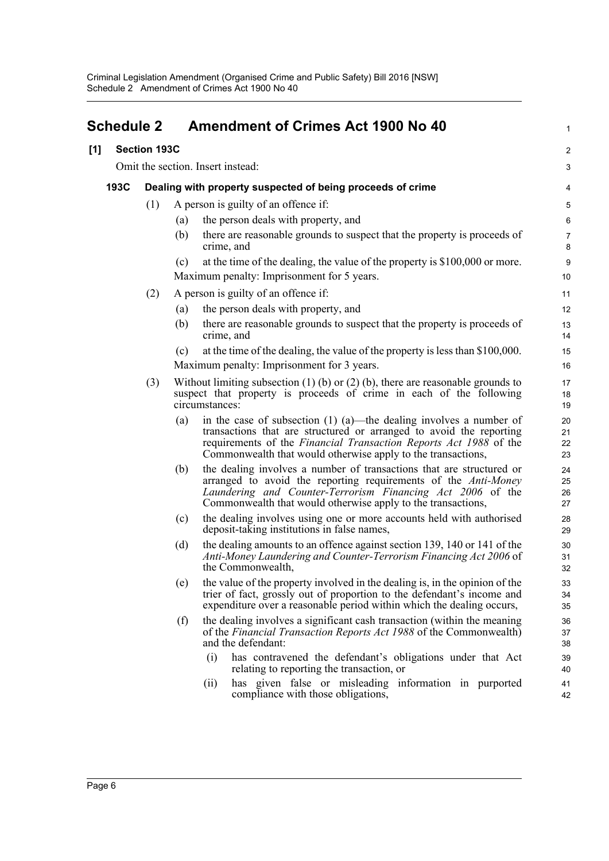<span id="page-9-0"></span>

| <b>Schedule 2</b> |                     |     | <b>Amendment of Crimes Act 1900 No 40</b>                                                                                                                                                                                                                                                  | 1                      |
|-------------------|---------------------|-----|--------------------------------------------------------------------------------------------------------------------------------------------------------------------------------------------------------------------------------------------------------------------------------------------|------------------------|
| [1]               | <b>Section 193C</b> |     |                                                                                                                                                                                                                                                                                            | $\overline{c}$         |
|                   |                     |     | Omit the section. Insert instead:                                                                                                                                                                                                                                                          | 3                      |
|                   | 193C                |     | Dealing with property suspected of being proceeds of crime                                                                                                                                                                                                                                 | 4                      |
|                   |                     | (1) | A person is guilty of an offence if:                                                                                                                                                                                                                                                       | $\overline{5}$         |
|                   |                     |     | the person deals with property, and<br>(a)                                                                                                                                                                                                                                                 | 6                      |
|                   |                     |     | there are reasonable grounds to suspect that the property is proceeds of<br>(b)<br>crime, and                                                                                                                                                                                              | $\overline{7}$<br>8    |
|                   |                     |     | at the time of the dealing, the value of the property is \$100,000 or more.<br>(c)<br>Maximum penalty: Imprisonment for 5 years.                                                                                                                                                           | $\boldsymbol{9}$<br>10 |
|                   |                     | (2) | A person is guilty of an offence if:                                                                                                                                                                                                                                                       | 11                     |
|                   |                     |     | the person deals with property, and<br>(a)                                                                                                                                                                                                                                                 | 12                     |
|                   |                     |     | there are reasonable grounds to suspect that the property is proceeds of<br>(b)<br>crime, and                                                                                                                                                                                              | 13<br>14               |
|                   |                     |     | at the time of the dealing, the value of the property is less than \$100,000.<br>(c)                                                                                                                                                                                                       | 15                     |
|                   |                     |     | Maximum penalty: Imprisonment for 3 years.                                                                                                                                                                                                                                                 | 16                     |
|                   |                     | (3) | Without limiting subsection $(1)$ (b) or $(2)$ (b), there are reasonable grounds to<br>suspect that property is proceeds of crime in each of the following<br>circumstances:                                                                                                               | 17<br>18<br>19         |
|                   |                     |     | in the case of subsection $(1)$ $(a)$ —the dealing involves a number of<br>(a)<br>transactions that are structured or arranged to avoid the reporting<br>requirements of the Financial Transaction Reports Act 1988 of the<br>Commonwealth that would otherwise apply to the transactions, | 20<br>21<br>22<br>23   |
|                   |                     |     | the dealing involves a number of transactions that are structured or<br>(b)<br>arranged to avoid the reporting requirements of the Anti-Money<br>Laundering and Counter-Terrorism Financing Act 2006 of the<br>Commonwealth that would otherwise apply to the transactions,                | 24<br>25<br>26<br>27   |
|                   |                     |     | the dealing involves using one or more accounts held with authorised<br>(c)<br>deposit-taking institutions in false names,                                                                                                                                                                 | 28<br>29               |
|                   |                     |     | the dealing amounts to an offence against section 139, 140 or 141 of the<br>(d)<br>Anti-Money Laundering and Counter-Terrorism Financing Act 2006 of<br>the Commonwealth,                                                                                                                  | 30<br>31<br>32         |
|                   |                     |     | the value of the property involved in the dealing is, in the opinion of the<br>(e)<br>trier of fact, grossly out of proportion to the defendant's income and<br>expenditure over a reasonable period within which the dealing occurs,                                                      | 33<br>34<br>35         |
|                   |                     |     | the dealing involves a significant cash transaction (within the meaning<br>(f)<br>of the Financial Transaction Reports Act 1988 of the Commonwealth)<br>and the defendant:                                                                                                                 | 36<br>37<br>38         |
|                   |                     |     | (i)<br>has contravened the defendant's obligations under that Act<br>relating to reporting the transaction, or                                                                                                                                                                             | 39<br>40               |
|                   |                     |     | has given false or misleading information in purported<br>(ii)<br>compliance with those obligations,                                                                                                                                                                                       | 41<br>42               |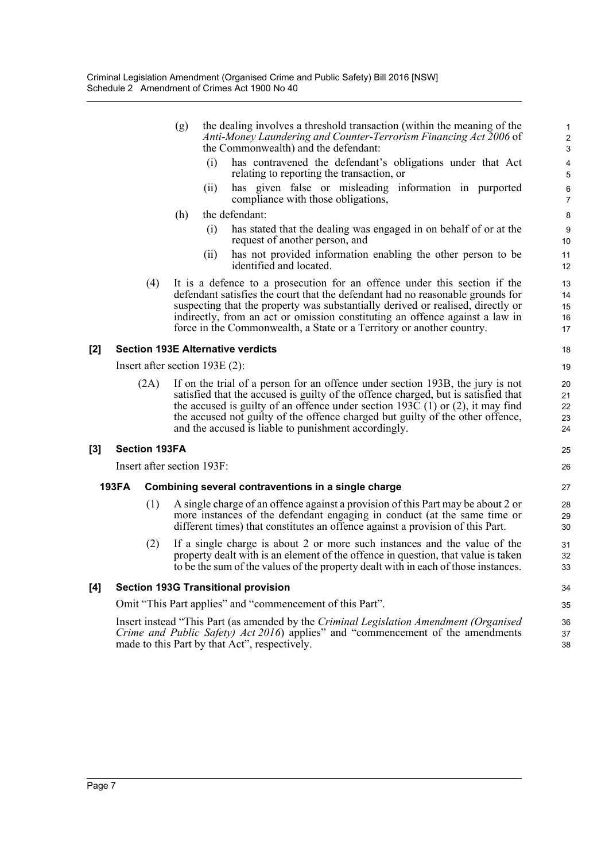|     |                            |      | (g)                                      | the dealing involves a threshold transaction (within the meaning of the<br>Anti-Money Laundering and Counter-Terrorism Financing Act 2006 of<br>the Commonwealth) and the defendant:                                                                                                                                                                                                                    | $\mathbf{1}$<br>$\boldsymbol{2}$<br>3 |
|-----|----------------------------|------|------------------------------------------|---------------------------------------------------------------------------------------------------------------------------------------------------------------------------------------------------------------------------------------------------------------------------------------------------------------------------------------------------------------------------------------------------------|---------------------------------------|
|     |                            |      | (i)                                      | has contravened the defendant's obligations under that Act<br>relating to reporting the transaction, or                                                                                                                                                                                                                                                                                                 | 4<br>5                                |
|     |                            |      | (11)                                     | has given false or misleading information in purported<br>compliance with those obligations,                                                                                                                                                                                                                                                                                                            | 6<br>$\overline{7}$                   |
|     |                            |      | (h)                                      | the defendant:                                                                                                                                                                                                                                                                                                                                                                                          | 8                                     |
|     |                            |      | (i)                                      | has stated that the dealing was engaged in on behalf of or at the<br>request of another person, and                                                                                                                                                                                                                                                                                                     | $9\,$<br>10                           |
|     |                            |      | (i)                                      | has not provided information enabling the other person to be<br>identified and located.                                                                                                                                                                                                                                                                                                                 | 11<br>12                              |
|     |                            | (4)  |                                          | It is a defence to a prosecution for an offence under this section if the<br>defendant satisfies the court that the defendant had no reasonable grounds for<br>suspecting that the property was substantially derived or realised, directly or<br>indirectly, from an act or omission constituting an offence against a law in<br>force in the Commonwealth, a State or a Territory or another country. | 13<br>14<br>15<br>16<br>17            |
| [2] |                            |      | <b>Section 193E Alternative verdicts</b> |                                                                                                                                                                                                                                                                                                                                                                                                         | 18                                    |
|     |                            |      | Insert after section $193E(2)$ :         |                                                                                                                                                                                                                                                                                                                                                                                                         | 19                                    |
|     |                            | (2A) |                                          | If on the trial of a person for an offence under section 193B, the jury is not<br>satisfied that the accused is guilty of the offence charged, but is satisfied that<br>the accused is guilty of an offence under section 193C $(1)$ or $(2)$ , it may find<br>the accused not guilty of the offence charged but guilty of the other offence,<br>and the accused is liable to punishment accordingly.   | 20<br>21<br>22<br>23<br>24            |
| [3] | <b>Section 193FA</b>       |      |                                          |                                                                                                                                                                                                                                                                                                                                                                                                         | 25                                    |
|     | Insert after section 193F: |      |                                          |                                                                                                                                                                                                                                                                                                                                                                                                         |                                       |
|     | <b>193FA</b>               |      |                                          | Combining several contraventions in a single charge                                                                                                                                                                                                                                                                                                                                                     | 27                                    |
|     |                            | (1)  |                                          | A single charge of an offence against a provision of this Part may be about 2 or<br>more instances of the defendant engaging in conduct (at the same time or<br>different times) that constitutes an offence against a provision of this Part.                                                                                                                                                          | 28<br>29<br>30                        |
|     |                            | (2)  |                                          | If a single charge is about 2 or more such instances and the value of the<br>property dealt with is an element of the offence in question, that value is taken<br>to be the sum of the values of the property dealt with in each of those instances.                                                                                                                                                    | 31<br>32<br>33                        |
| [4] |                            |      |                                          | <b>Section 193G Transitional provision</b>                                                                                                                                                                                                                                                                                                                                                              | 34                                    |
|     |                            |      |                                          | Omit "This Part applies" and "commencement of this Part".                                                                                                                                                                                                                                                                                                                                               | 35                                    |
|     |                            |      |                                          | Insert instead "This Part (as amended by the Criminal Legislation Amendment (Organised<br>Crime and Public Safety) Act 2016) applies" and "commencement of the amendments<br>made to this Part by that Act", respectively.                                                                                                                                                                              | 36<br>37<br>38                        |

**[3]**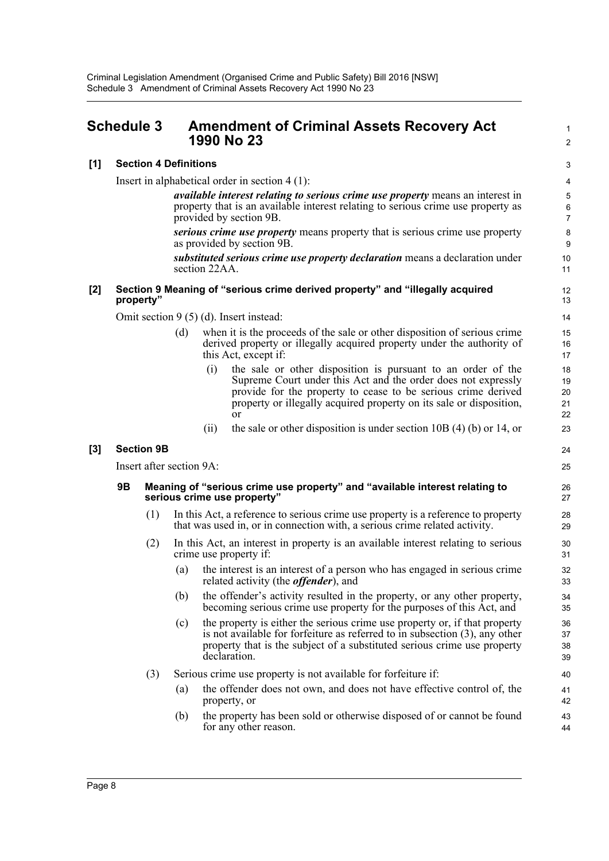## <span id="page-11-0"></span>**Schedule 3 Amendment of Criminal Assets Recovery Act 1990 No 23**

#### **[1] Section 4 Definitions**

Insert in alphabetical order in section 4 (1):

*available interest relating to serious crime use property* means an interest in property that is an available interest relating to serious crime use property as provided by section 9B.

1  $\overline{2}$ 

24 25

*serious crime use property* means property that is serious crime use property as provided by section 9B.

*substituted serious crime use property declaration* means a declaration under section 22AA.

#### **[2] Section 9 Meaning of "serious crime derived property" and "illegally acquired property"**

Omit section 9 (5) (d). Insert instead:

- (d) when it is the proceeds of the sale or other disposition of serious crime derived property or illegally acquired property under the authority of this Act, except if:
	- (i) the sale or other disposition is pursuant to an order of the Supreme Court under this Act and the order does not expressly provide for the property to cease to be serious crime derived property or illegally acquired property on its sale or disposition, or
	- (ii) the sale or other disposition is under section  $10B(4)$  (b) or 14, or

#### **[3] Section 9B**

Insert after section 9A:

#### **9B Meaning of "serious crime use property" and "available interest relating to serious crime use property"**

- (1) In this Act, a reference to serious crime use property is a reference to property that was used in, or in connection with, a serious crime related activity.
- (2) In this Act, an interest in property is an available interest relating to serious crime use property if:
	- (a) the interest is an interest of a person who has engaged in serious crime related activity (the *offender*), and
	- (b) the offender's activity resulted in the property, or any other property, becoming serious crime use property for the purposes of this Act, and
	- (c) the property is either the serious crime use property or, if that property is not available for forfeiture as referred to in subsection (3), any other property that is the subject of a substituted serious crime use property declaration.
- (3) Serious crime use property is not available for forfeiture if:
	- (a) the offender does not own, and does not have effective control of, the property, or
	- (b) the property has been sold or otherwise disposed of or cannot be found for any other reason.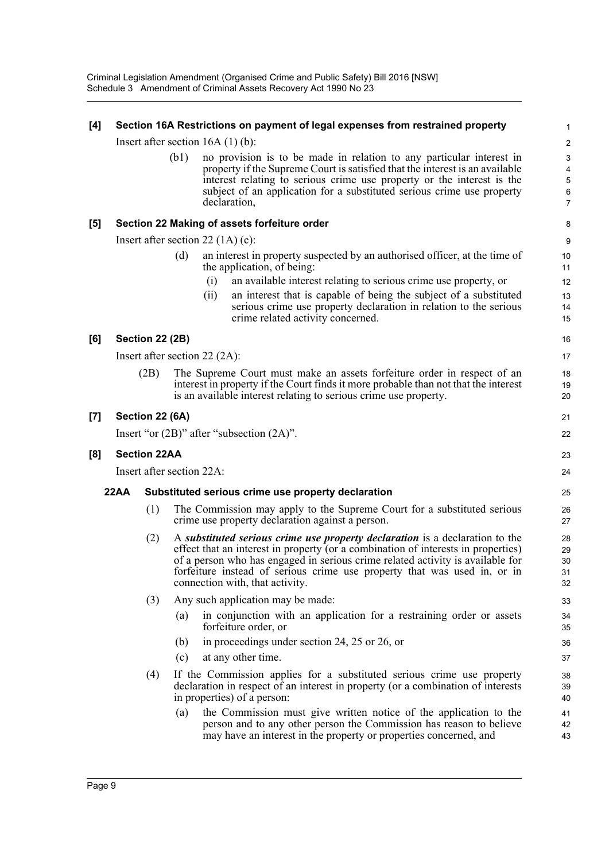Criminal Legislation Amendment (Organised Crime and Public Safety) Bill 2016 [NSW] Schedule 3 Amendment of Criminal Assets Recovery Act 1990 No 23

| $[4]$ |             |                        |      | Section 16A Restrictions on payment of legal expenses from restrained property                                                                                                                                                                                                                                                                                     | 1                                                                       |
|-------|-------------|------------------------|------|--------------------------------------------------------------------------------------------------------------------------------------------------------------------------------------------------------------------------------------------------------------------------------------------------------------------------------------------------------------------|-------------------------------------------------------------------------|
|       |             |                        |      | Insert after section $16A(1)(b)$ :                                                                                                                                                                                                                                                                                                                                 | $\overline{c}$                                                          |
|       |             |                        | (b1) | no provision is to be made in relation to any particular interest in<br>property if the Supreme Court is satisfied that the interest is an available<br>interest relating to serious crime use property or the interest is the<br>subject of an application for a substituted serious crime use property<br>declaration,                                           | $\ensuremath{\mathsf{3}}$<br>4<br>$\overline{5}$<br>6<br>$\overline{7}$ |
| $[5]$ |             |                        |      | Section 22 Making of assets forfeiture order                                                                                                                                                                                                                                                                                                                       | 8                                                                       |
|       |             |                        |      | Insert after section 22 $(1A)$ (c):                                                                                                                                                                                                                                                                                                                                | 9                                                                       |
|       |             |                        | (d)  | an interest in property suspected by an authorised officer, at the time of<br>the application, of being:                                                                                                                                                                                                                                                           | 10<br>11                                                                |
|       |             |                        |      | an available interest relating to serious crime use property, or<br>(i)<br>an interest that is capable of being the subject of a substituted<br>(ii)<br>serious crime use property declaration in relation to the serious<br>crime related activity concerned.                                                                                                     | 12<br>13<br>14<br>15                                                    |
| [6]   |             | <b>Section 22 (2B)</b> |      |                                                                                                                                                                                                                                                                                                                                                                    | 16                                                                      |
|       |             |                        |      | Insert after section $22 (2A)$ :                                                                                                                                                                                                                                                                                                                                   | 17                                                                      |
|       |             | (2B)                   |      | The Supreme Court must make an assets forfeiture order in respect of an<br>interest in property if the Court finds it more probable than not that the interest<br>is an available interest relating to serious crime use property.                                                                                                                                 | 18<br>19<br>20                                                          |
| $[7]$ |             | Section 22 (6A)        |      |                                                                                                                                                                                                                                                                                                                                                                    | 21                                                                      |
|       |             |                        |      | Insert "or $(2B)$ " after "subsection $(2A)$ ".                                                                                                                                                                                                                                                                                                                    | 22                                                                      |
| [8]   |             | <b>Section 22AA</b>    |      |                                                                                                                                                                                                                                                                                                                                                                    | 23                                                                      |
|       |             |                        |      | Insert after section 22A:                                                                                                                                                                                                                                                                                                                                          | 24                                                                      |
|       | <b>22AA</b> |                        |      | Substituted serious crime use property declaration                                                                                                                                                                                                                                                                                                                 | 25                                                                      |
|       |             | (1)                    |      | The Commission may apply to the Supreme Court for a substituted serious<br>crime use property declaration against a person.                                                                                                                                                                                                                                        | 26<br>27                                                                |
|       |             | (2)                    |      | A substituted serious crime use property declaration is a declaration to the<br>effect that an interest in property (or a combination of interests in properties)<br>of a person who has engaged in serious crime related activity is available for<br>forfeiture instead of serious crime use property that was used in, or in<br>connection with, that activity. | 28<br>29<br>30<br>31<br>32                                              |
|       |             | (3)                    |      | Any such application may be made:                                                                                                                                                                                                                                                                                                                                  | 33                                                                      |
|       |             |                        | (a)  | in conjunction with an application for a restraining order or assets<br>forfeiture order, or                                                                                                                                                                                                                                                                       | 34<br>35                                                                |
|       |             |                        | (b)  | in proceedings under section 24, 25 or 26, or                                                                                                                                                                                                                                                                                                                      | 36                                                                      |
|       |             |                        | (c)  | at any other time.                                                                                                                                                                                                                                                                                                                                                 | 37                                                                      |
|       |             | (4)                    |      | If the Commission applies for a substituted serious crime use property<br>declaration in respect of an interest in property (or a combination of interests<br>in properties) of a person:                                                                                                                                                                          | 38<br>39<br>40                                                          |
|       |             |                        | (a)  | the Commission must give written notice of the application to the<br>person and to any other person the Commission has reason to believe<br>may have an interest in the property or properties concerned, and                                                                                                                                                      | 41<br>42<br>43                                                          |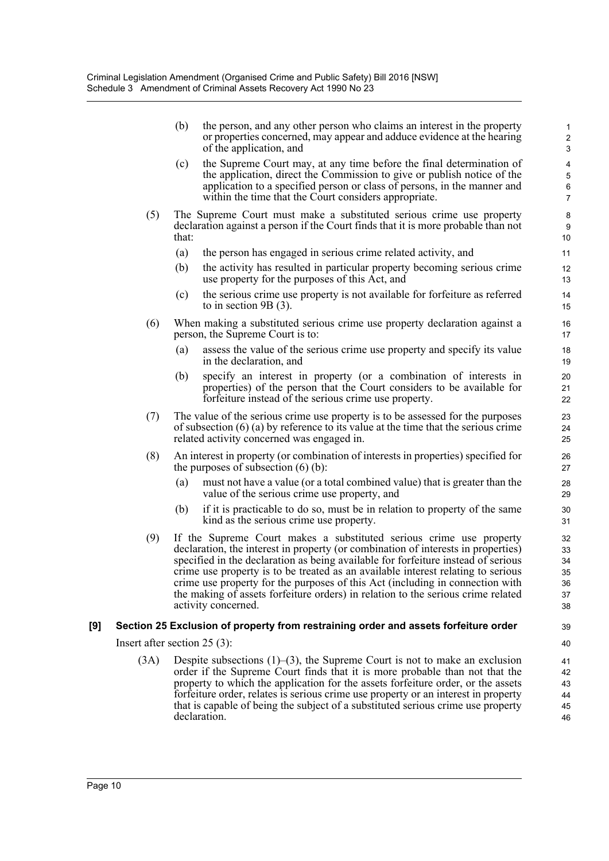(b) the person, and any other person who claims an interest in the property or properties concerned, may appear and adduce evidence at the hearing of the application, and

- (c) the Supreme Court may, at any time before the final determination of the application, direct the Commission to give or publish notice of the application to a specified person or class of persons, in the manner and within the time that the Court considers appropriate.
- (5) The Supreme Court must make a substituted serious crime use property declaration against a person if the Court finds that it is more probable than not that:
	- (a) the person has engaged in serious crime related activity, and
	- (b) the activity has resulted in particular property becoming serious crime use property for the purposes of this Act, and
	- (c) the serious crime use property is not available for forfeiture as referred to in section 9B (3).
- (6) When making a substituted serious crime use property declaration against a person, the Supreme Court is to:
	- (a) assess the value of the serious crime use property and specify its value in the declaration, and
	- (b) specify an interest in property (or a combination of interests in properties) of the person that the Court considers to be available for forfeiture instead of the serious crime use property.
- (7) The value of the serious crime use property is to be assessed for the purposes of subsection (6) (a) by reference to its value at the time that the serious crime related activity concerned was engaged in.
- (8) An interest in property (or combination of interests in properties) specified for the purposes of subsection (6) (b):
	- (a) must not have a value (or a total combined value) that is greater than the value of the serious crime use property, and
	- (b) if it is practicable to do so, must be in relation to property of the same kind as the serious crime use property.
- (9) If the Supreme Court makes a substituted serious crime use property declaration, the interest in property (or combination of interests in properties) specified in the declaration as being available for forfeiture instead of serious crime use property is to be treated as an available interest relating to serious crime use property for the purposes of this Act (including in connection with the making of assets forfeiture orders) in relation to the serious crime related activity concerned.

#### **[9] Section 25 Exclusion of property from restraining order and assets forfeiture order**

Insert after section 25 (3):

(3A) Despite subsections  $(1)$ –(3), the Supreme Court is not to make an exclusion order if the Supreme Court finds that it is more probable than not that the property to which the application for the assets forfeiture order, or the assets forfeiture order, relates is serious crime use property or an interest in property that is capable of being the subject of a substituted serious crime use property declaration.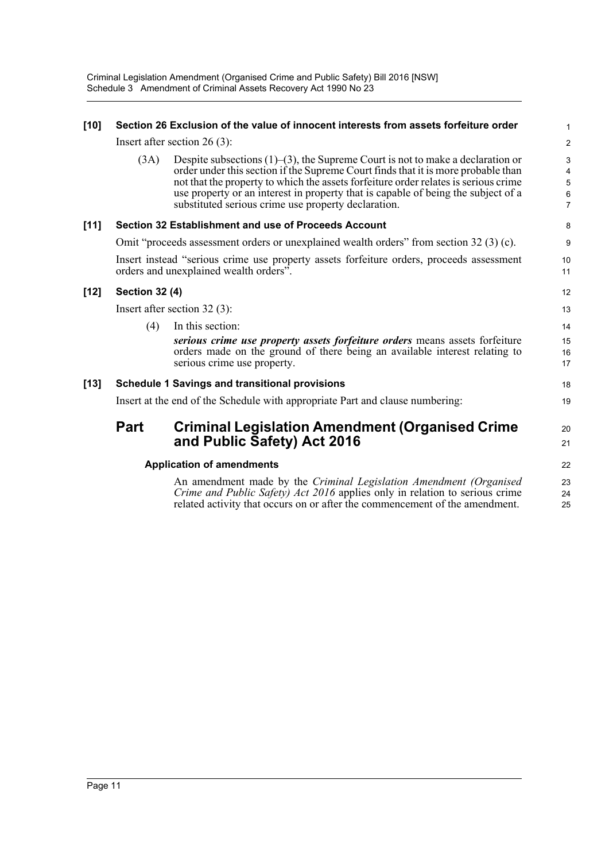| $[10]$ | Section 26 Exclusion of the value of innocent interests from assets forfeiture order |                                                                                                                                                                                                                                                                                                                                                                                                               |                                                     |  |  |  |
|--------|--------------------------------------------------------------------------------------|---------------------------------------------------------------------------------------------------------------------------------------------------------------------------------------------------------------------------------------------------------------------------------------------------------------------------------------------------------------------------------------------------------------|-----------------------------------------------------|--|--|--|
|        |                                                                                      | Insert after section $26(3)$ :                                                                                                                                                                                                                                                                                                                                                                                | $\overline{2}$                                      |  |  |  |
|        | (3A)                                                                                 | Despite subsections $(1)$ – $(3)$ , the Supreme Court is not to make a declaration or<br>order under this section if the Supreme Court finds that it is more probable than<br>not that the property to which the assets forfeiture order relates is serious crime<br>use property or an interest in property that is capable of being the subject of a<br>substituted serious crime use property declaration. | 3<br>4<br>$\overline{5}$<br>$\,6$<br>$\overline{7}$ |  |  |  |
| $[11]$ |                                                                                      | Section 32 Establishment and use of Proceeds Account                                                                                                                                                                                                                                                                                                                                                          | 8                                                   |  |  |  |
|        |                                                                                      | Omit "proceeds assessment orders or unexplained wealth orders" from section 32 (3) (c).                                                                                                                                                                                                                                                                                                                       | 9                                                   |  |  |  |
|        |                                                                                      | Insert instead "serious crime use property assets forfeiture orders, proceeds assessment<br>orders and unexplained wealth orders".                                                                                                                                                                                                                                                                            | 10<br>11                                            |  |  |  |
| $[12]$ | <b>Section 32 (4)</b>                                                                |                                                                                                                                                                                                                                                                                                                                                                                                               |                                                     |  |  |  |
|        | Insert after section $32(3)$ :                                                       |                                                                                                                                                                                                                                                                                                                                                                                                               |                                                     |  |  |  |
|        | (4)                                                                                  | In this section:                                                                                                                                                                                                                                                                                                                                                                                              | 14                                                  |  |  |  |
|        |                                                                                      | serious crime use property assets forfeiture orders means assets forfeiture<br>orders made on the ground of there being an available interest relating to<br>serious crime use property.                                                                                                                                                                                                                      | 15<br>16<br>17                                      |  |  |  |
| $[13]$ |                                                                                      | <b>Schedule 1 Savings and transitional provisions</b>                                                                                                                                                                                                                                                                                                                                                         | 18                                                  |  |  |  |
|        | Insert at the end of the Schedule with appropriate Part and clause numbering:        |                                                                                                                                                                                                                                                                                                                                                                                                               |                                                     |  |  |  |
|        | <b>Part</b>                                                                          | <b>Criminal Legislation Amendment (Organised Crime</b><br>and Public Safety) Act 2016                                                                                                                                                                                                                                                                                                                         | 20<br>21                                            |  |  |  |
|        | <b>Application of amendments</b>                                                     |                                                                                                                                                                                                                                                                                                                                                                                                               |                                                     |  |  |  |
|        |                                                                                      | An amendment made by the <i>Criminal Legislation Amendment (Organised</i> )<br>Crime and Public Safety) Act 2016 applies only in relation to serious crime<br>related activity that occurs on or after the commencement of the amendment.                                                                                                                                                                     | 23<br>24<br>25                                      |  |  |  |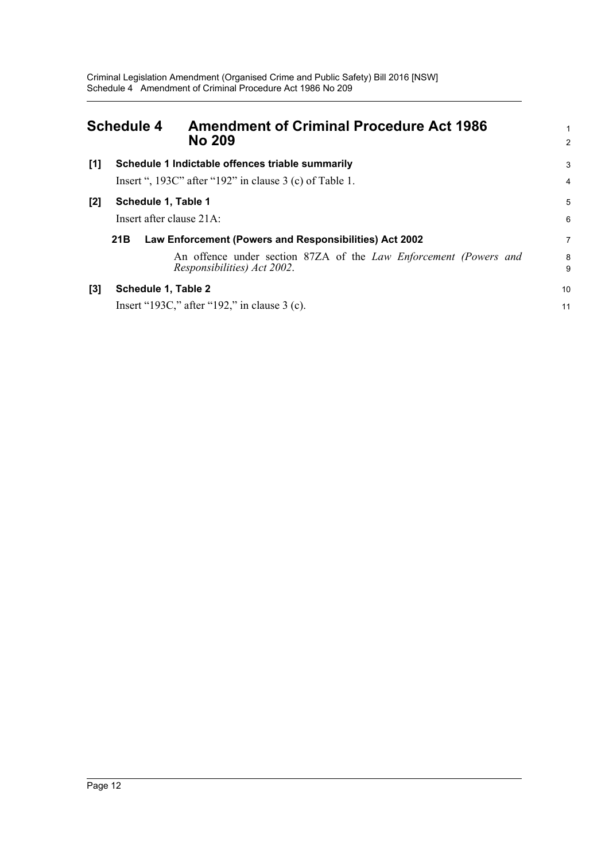<span id="page-15-0"></span>

| <b>Schedule 4</b> |                             | <b>Amendment of Criminal Procedure Act 1986</b><br><b>No 209</b>                                       |        |
|-------------------|-----------------------------|--------------------------------------------------------------------------------------------------------|--------|
| [1]               |                             | Schedule 1 Indictable offences triable summarily                                                       | 3      |
|                   |                             | Insert ", 193C" after "192" in clause $3$ (c) of Table 1.                                              | 4      |
| $[2]$             | Schedule 1, Table 1         |                                                                                                        | 5      |
|                   | Insert after clause $21A$ : |                                                                                                        | 6      |
|                   | 21B                         | Law Enforcement (Powers and Responsibilities) Act 2002                                                 | 7      |
|                   |                             | An offence under section 87ZA of the <i>Law Enforcement (Powers and</i><br>Responsibilities) Act 2002. | 8<br>9 |
| $[3]$             | Schedule 1, Table 2         |                                                                                                        | 10     |
|                   |                             | Insert "193C," after "192," in clause $3$ (c).                                                         | 11     |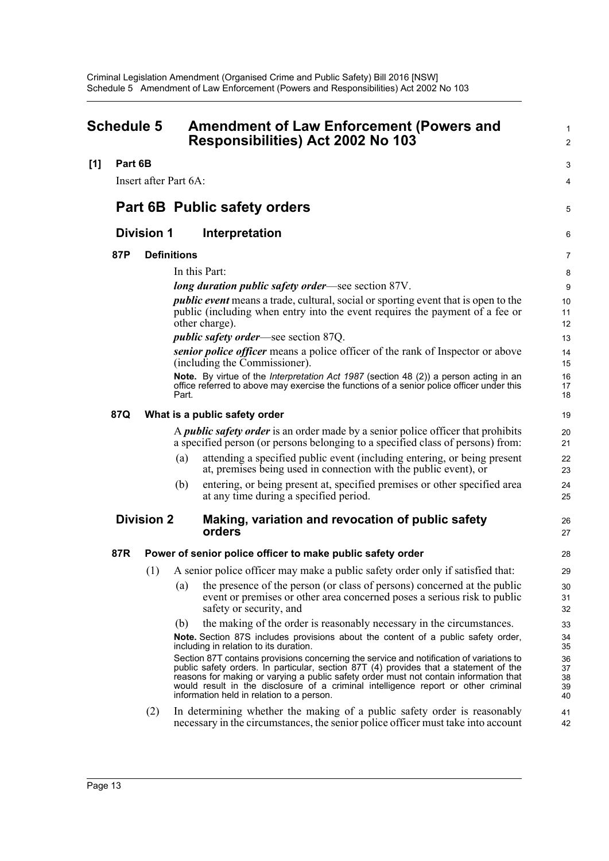<span id="page-16-0"></span>

|     | <b>Schedule 5</b> |                       |                    | <b>Amendment of Law Enforcement (Powers and</b><br>Responsibilities) Act 2002 No 103                                                                                                                                                                                                                                                                                                                          |                            |  |  |
|-----|-------------------|-----------------------|--------------------|---------------------------------------------------------------------------------------------------------------------------------------------------------------------------------------------------------------------------------------------------------------------------------------------------------------------------------------------------------------------------------------------------------------|----------------------------|--|--|
| [1] | Part 6B           |                       |                    |                                                                                                                                                                                                                                                                                                                                                                                                               | 3                          |  |  |
|     |                   | Insert after Part 6A: |                    |                                                                                                                                                                                                                                                                                                                                                                                                               | 4                          |  |  |
|     |                   |                       |                    | <b>Part 6B Public safety orders</b>                                                                                                                                                                                                                                                                                                                                                                           | 5                          |  |  |
|     |                   | <b>Division 1</b>     |                    | Interpretation                                                                                                                                                                                                                                                                                                                                                                                                | 6                          |  |  |
|     | 87P               |                       | <b>Definitions</b> |                                                                                                                                                                                                                                                                                                                                                                                                               | 7                          |  |  |
|     |                   |                       |                    | In this Part:                                                                                                                                                                                                                                                                                                                                                                                                 | 8                          |  |  |
|     |                   |                       |                    | <i>long duration public safety order—see section 87V.</i>                                                                                                                                                                                                                                                                                                                                                     | 9                          |  |  |
|     |                   |                       |                    | <i>public event</i> means a trade, cultural, social or sporting event that is open to the<br>public (including when entry into the event requires the payment of a fee or<br>other charge).                                                                                                                                                                                                                   | 10<br>11<br>12             |  |  |
|     |                   |                       |                    | <i>public safety order</i> —see section 87Q.                                                                                                                                                                                                                                                                                                                                                                  | 13                         |  |  |
|     |                   |                       |                    | senior police officer means a police officer of the rank of Inspector or above<br>(including the Commissioner).                                                                                                                                                                                                                                                                                               | 14<br>15                   |  |  |
|     |                   |                       | Part.              | Note. By virtue of the <i>Interpretation Act 1987</i> (section 48 (2)) a person acting in an<br>office referred to above may exercise the functions of a senior police officer under this                                                                                                                                                                                                                     | 16<br>17<br>18             |  |  |
|     | 87Q               |                       |                    | What is a public safety order                                                                                                                                                                                                                                                                                                                                                                                 | 19                         |  |  |
|     |                   |                       |                    | A <i>public safety order</i> is an order made by a senior police officer that prohibits<br>a specified person (or persons belonging to a specified class of persons) from:                                                                                                                                                                                                                                    | 20<br>21                   |  |  |
|     |                   |                       | (a)                | attending a specified public event (including entering, or being present<br>at, premises being used in connection with the public event), or                                                                                                                                                                                                                                                                  | 22<br>23                   |  |  |
|     |                   |                       | (b)                | entering, or being present at, specified premises or other specified area<br>at any time during a specified period.                                                                                                                                                                                                                                                                                           | 24<br>25                   |  |  |
|     |                   | <b>Division 2</b>     |                    | Making, variation and revocation of public safety<br>orders                                                                                                                                                                                                                                                                                                                                                   | 26<br>27                   |  |  |
|     | 87R               |                       |                    | Power of senior police officer to make public safety order                                                                                                                                                                                                                                                                                                                                                    | 28                         |  |  |
|     |                   | (1)                   |                    | A senior police officer may make a public safety order only if satisfied that:                                                                                                                                                                                                                                                                                                                                | 29                         |  |  |
|     |                   |                       | (a)                | the presence of the person (or class of persons) concerned at the public<br>event or premises or other area concerned poses a serious risk to public<br>safety or security, and                                                                                                                                                                                                                               | 30<br>31<br>32             |  |  |
|     |                   |                       | (b)                | the making of the order is reasonably necessary in the circumstances.                                                                                                                                                                                                                                                                                                                                         | 33                         |  |  |
|     |                   |                       |                    | Note. Section 87S includes provisions about the content of a public safety order,<br>including in relation to its duration.                                                                                                                                                                                                                                                                                   | 34<br>35                   |  |  |
|     |                   |                       |                    | Section 87T contains provisions concerning the service and notification of variations to<br>public safety orders. In particular, section 87T (4) provides that a statement of the<br>reasons for making or varying a public safety order must not contain information that<br>would result in the disclosure of a criminal intelligence report or other criminal<br>information held in relation to a person. | 36<br>37<br>38<br>39<br>40 |  |  |
|     |                   | (2)                   |                    | In determining whether the making of a public safety order is reasonably<br>necessary in the circumstances, the senior police officer must take into account                                                                                                                                                                                                                                                  | 41<br>42                   |  |  |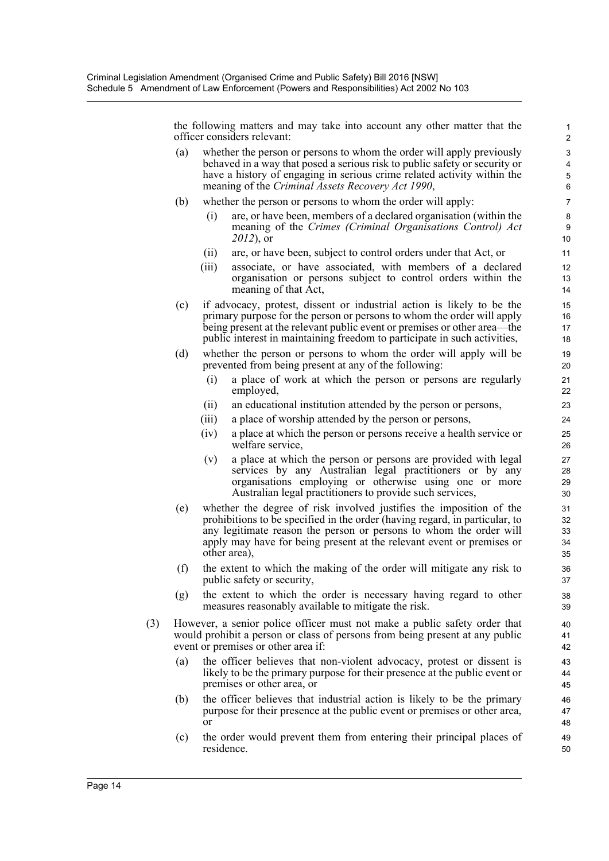the following matters and may take into account any other matter that the officer considers relevant:

- (a) whether the person or persons to whom the order will apply previously behaved in a way that posed a serious risk to public safety or security or have a history of engaging in serious crime related activity within the meaning of the *Criminal Assets Recovery Act 1990*,
- (b) whether the person or persons to whom the order will apply:
	- (i) are, or have been, members of a declared organisation (within the meaning of the *Crimes (Criminal Organisations Control) Act 2012*), or
	- (ii) are, or have been, subject to control orders under that Act, or
	- (iii) associate, or have associated, with members of a declared organisation or persons subject to control orders within the meaning of that Act,
- (c) if advocacy, protest, dissent or industrial action is likely to be the primary purpose for the person or persons to whom the order will apply being present at the relevant public event or premises or other area—the public interest in maintaining freedom to participate in such activities,
- (d) whether the person or persons to whom the order will apply will be prevented from being present at any of the following:
	- (i) a place of work at which the person or persons are regularly employed,
	- (ii) an educational institution attended by the person or persons,
	- (iii) a place of worship attended by the person or persons,
	- (iv) a place at which the person or persons receive a health service or welfare service,
	- (v) a place at which the person or persons are provided with legal services by any Australian legal practitioners or by any organisations employing or otherwise using one or more Australian legal practitioners to provide such services,
- (e) whether the degree of risk involved justifies the imposition of the prohibitions to be specified in the order (having regard, in particular, to any legitimate reason the person or persons to whom the order will apply may have for being present at the relevant event or premises or other area),
- (f) the extent to which the making of the order will mitigate any risk to public safety or security,
- (g) the extent to which the order is necessary having regard to other measures reasonably available to mitigate the risk.
- (3) However, a senior police officer must not make a public safety order that would prohibit a person or class of persons from being present at any public event or premises or other area if:
	- (a) the officer believes that non-violent advocacy, protest or dissent is likely to be the primary purpose for their presence at the public event or premises or other area, or
	- (b) the officer believes that industrial action is likely to be the primary purpose for their presence at the public event or premises or other area, or
	- (c) the order would prevent them from entering their principal places of residence.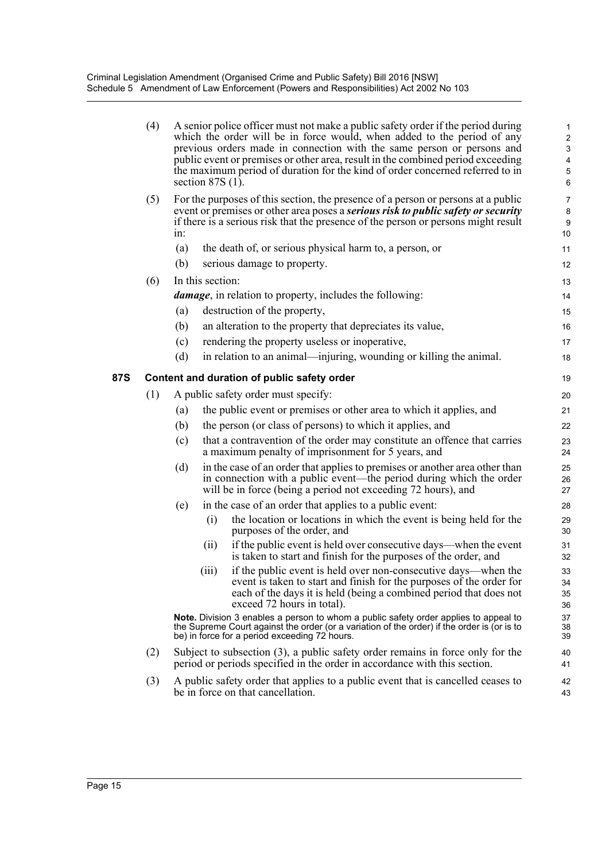|     | (4) |        | A senior police officer must not make a public safety order if the period during<br>which the order will be in force would, when added to the period of any<br>previous orders made in connection with the same person or persons and<br>public event or premises or other area, result in the combined period exceeding<br>the maximum period of duration for the kind of order concerned referred to in<br>section $87S(1)$ . | $\mathbf{1}$<br>$\overline{\mathbf{c}}$<br>3<br>4<br>5<br>6 |
|-----|-----|--------|---------------------------------------------------------------------------------------------------------------------------------------------------------------------------------------------------------------------------------------------------------------------------------------------------------------------------------------------------------------------------------------------------------------------------------|-------------------------------------------------------------|
|     | (5) | $1n$ : | For the purposes of this section, the presence of a person or persons at a public<br>event or premises or other area poses a <b><i>serious risk to public safety or security</i></b><br>if there is a serious risk that the presence of the person or persons might result                                                                                                                                                      | $\overline{7}$<br>8<br>9<br>10                              |
|     |     | (a)    | the death of, or serious physical harm to, a person, or                                                                                                                                                                                                                                                                                                                                                                         | 11                                                          |
|     |     | (b)    | serious damage to property.                                                                                                                                                                                                                                                                                                                                                                                                     | 12                                                          |
|     | (6) |        | In this section:                                                                                                                                                                                                                                                                                                                                                                                                                | 13                                                          |
|     |     |        | damage, in relation to property, includes the following:                                                                                                                                                                                                                                                                                                                                                                        | 14                                                          |
|     |     | (a)    | destruction of the property,                                                                                                                                                                                                                                                                                                                                                                                                    | 15                                                          |
|     |     | (b)    | an alteration to the property that depreciates its value,                                                                                                                                                                                                                                                                                                                                                                       | 16                                                          |
|     |     | (c)    | rendering the property useless or inoperative,                                                                                                                                                                                                                                                                                                                                                                                  | 17                                                          |
|     |     | (d)    | in relation to an animal—injuring, wounding or killing the animal.                                                                                                                                                                                                                                                                                                                                                              | 18                                                          |
| 87S |     |        | Content and duration of public safety order                                                                                                                                                                                                                                                                                                                                                                                     | 19                                                          |
|     | (1) |        | A public safety order must specify:                                                                                                                                                                                                                                                                                                                                                                                             | 20                                                          |
|     |     | (a)    | the public event or premises or other area to which it applies, and                                                                                                                                                                                                                                                                                                                                                             | 21                                                          |
|     |     | (b)    | the person (or class of persons) to which it applies, and                                                                                                                                                                                                                                                                                                                                                                       | 22                                                          |
|     |     | (c)    | that a contravention of the order may constitute an offence that carries<br>a maximum penalty of imprisonment for 5 years, and                                                                                                                                                                                                                                                                                                  | 23<br>24                                                    |
|     |     | (d)    | in the case of an order that applies to premises or another area other than<br>in connection with a public event—the period during which the order<br>will be in force (being a period not exceeding 72 hours), and                                                                                                                                                                                                             | 25<br>26<br>27                                              |
|     |     | (e)    | in the case of an order that applies to a public event:                                                                                                                                                                                                                                                                                                                                                                         | 28                                                          |
|     |     |        | the location or locations in which the event is being held for the<br>(i)<br>purposes of the order, and                                                                                                                                                                                                                                                                                                                         | 29<br>30                                                    |
|     |     |        | if the public event is held over consecutive days—when the event<br>(ii)<br>is taken to start and finish for the purposes of the order, and                                                                                                                                                                                                                                                                                     | 31<br>32                                                    |
|     |     |        | if the public event is held over non-consecutive days—when the<br>(iii)<br>event is taken to start and finish for the purposes of the order for<br>each of the days it is held (being a combined period that does not<br>exceed 72 hours in total).                                                                                                                                                                             | 33<br>34<br>35<br>36                                        |
|     |     |        | Note. Division 3 enables a person to whom a public safety order applies to appeal to<br>the Supreme Court against the order (or a variation of the order) if the order is (or is to<br>be) in force for a period exceeding 72 hours.                                                                                                                                                                                            | 37<br>38<br>39                                              |
|     | (2) |        | Subject to subsection $(3)$ , a public safety order remains in force only for the<br>period or periods specified in the order in accordance with this section.                                                                                                                                                                                                                                                                  | 40<br>41                                                    |
|     | (3) |        | A public safety order that applies to a public event that is cancelled ceases to<br>be in force on that cancellation.                                                                                                                                                                                                                                                                                                           | 42<br>43                                                    |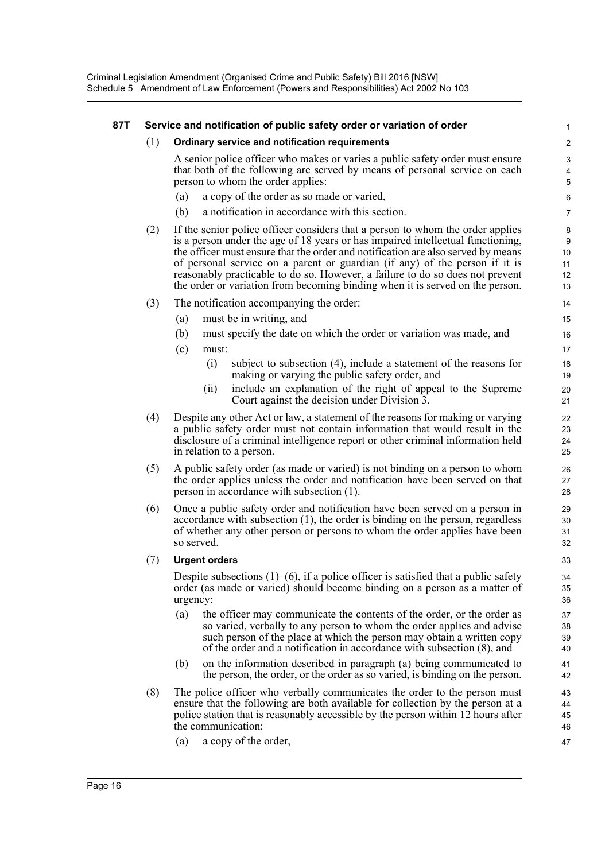#### **87T Service and notification of public safety order or variation of order**

#### (1) **Ordinary service and notification requirements**

A senior police officer who makes or varies a public safety order must ensure that both of the following are served by means of personal service on each person to whom the order applies:

- (a) a copy of the order as so made or varied,
- (b) a notification in accordance with this section.
- (2) If the senior police officer considers that a person to whom the order applies is a person under the age of 18 years or has impaired intellectual functioning, the officer must ensure that the order and notification are also served by means of personal service on a parent or guardian (if any) of the person if it is reasonably practicable to do so. However, a failure to do so does not prevent the order or variation from becoming binding when it is served on the person.
- (3) The notification accompanying the order:
	- (a) must be in writing, and
	- (b) must specify the date on which the order or variation was made, and
	- (c) must:
		- (i) subject to subsection (4), include a statement of the reasons for making or varying the public safety order, and
		- (ii) include an explanation of the right of appeal to the Supreme Court against the decision under Division 3.
- (4) Despite any other Act or law, a statement of the reasons for making or varying a public safety order must not contain information that would result in the disclosure of a criminal intelligence report or other criminal information held in relation to a person.
- (5) A public safety order (as made or varied) is not binding on a person to whom the order applies unless the order and notification have been served on that person in accordance with subsection (1).
- (6) Once a public safety order and notification have been served on a person in accordance with subsection (1), the order is binding on the person, regardless of whether any other person or persons to whom the order applies have been so served.

#### (7) **Urgent orders**

Despite subsections  $(1)$ – $(6)$ , if a police officer is satisfied that a public safety order (as made or varied) should become binding on a person as a matter of urgency:

- (a) the officer may communicate the contents of the order, or the order as so varied, verbally to any person to whom the order applies and advise such person of the place at which the person may obtain a written copy of the order and a notification in accordance with subsection (8), and
- (b) on the information described in paragraph (a) being communicated to the person, the order, or the order as so varied, is binding on the person.
- (8) The police officer who verbally communicates the order to the person must ensure that the following are both available for collection by the person at a police station that is reasonably accessible by the person within 12 hours after the communication:
	- (a) a copy of the order,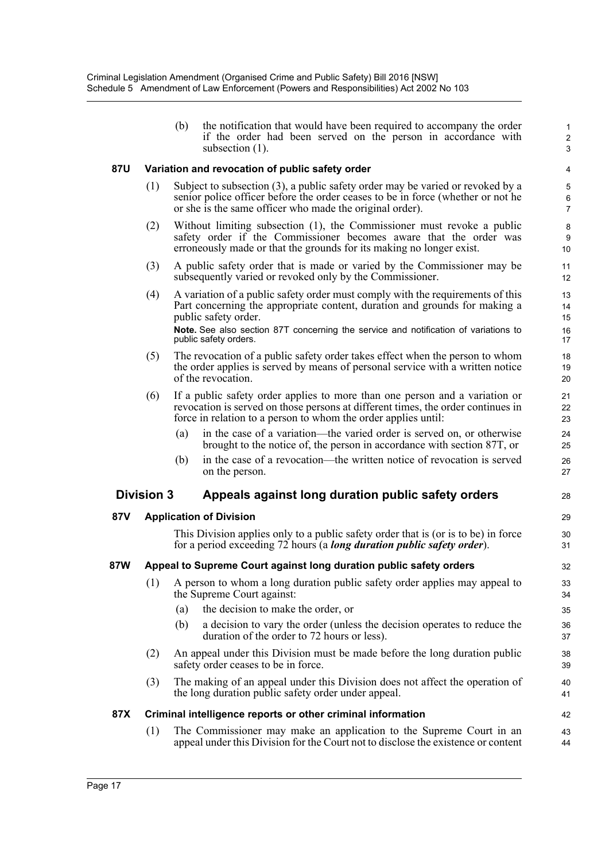(b) the notification that would have been required to accompany the order if the order had been served on the person in accordance with subsection (1).

1 2 3

28

29 30 31

#### **87U Variation and revocation of public safety order**

- (1) Subject to subsection (3), a public safety order may be varied or revoked by a senior police officer before the order ceases to be in force (whether or not he or she is the same officer who made the original order).
- (2) Without limiting subsection (1), the Commissioner must revoke a public safety order if the Commissioner becomes aware that the order was erroneously made or that the grounds for its making no longer exist.
- (3) A public safety order that is made or varied by the Commissioner may be subsequently varied or revoked only by the Commissioner.
- (4) A variation of a public safety order must comply with the requirements of this Part concerning the appropriate content, duration and grounds for making a public safety order. **Note.** See also section 87T concerning the service and notification of variations to public safety orders.
- (5) The revocation of a public safety order takes effect when the person to whom the order applies is served by means of personal service with a written notice of the revocation.
- (6) If a public safety order applies to more than one person and a variation or revocation is served on those persons at different times, the order continues in force in relation to a person to whom the order applies until:
	- (a) in the case of a variation—the varied order is served on, or otherwise brought to the notice of, the person in accordance with section 87T, or
	- (b) in the case of a revocation—the written notice of revocation is served on the person.

#### **Division 3 Appeals against long duration public safety orders**

#### **87V Application of Division**

This Division applies only to a public safety order that is (or is to be) in force for a period exceeding 72 hours (a *long duration public safety order*).

#### **87W Appeal to Supreme Court against long duration public safety orders**

- (1) A person to whom a long duration public safety order applies may appeal to the Supreme Court against:
	- (a) the decision to make the order, or
	- (b) a decision to vary the order (unless the decision operates to reduce the duration of the order to 72 hours or less).
- (2) An appeal under this Division must be made before the long duration public safety order ceases to be in force.
- (3) The making of an appeal under this Division does not affect the operation of the long duration public safety order under appeal.

#### **87X Criminal intelligence reports or other criminal information**

(1) The Commissioner may make an application to the Supreme Court in an appeal under this Division for the Court not to disclose the existence or content 43 44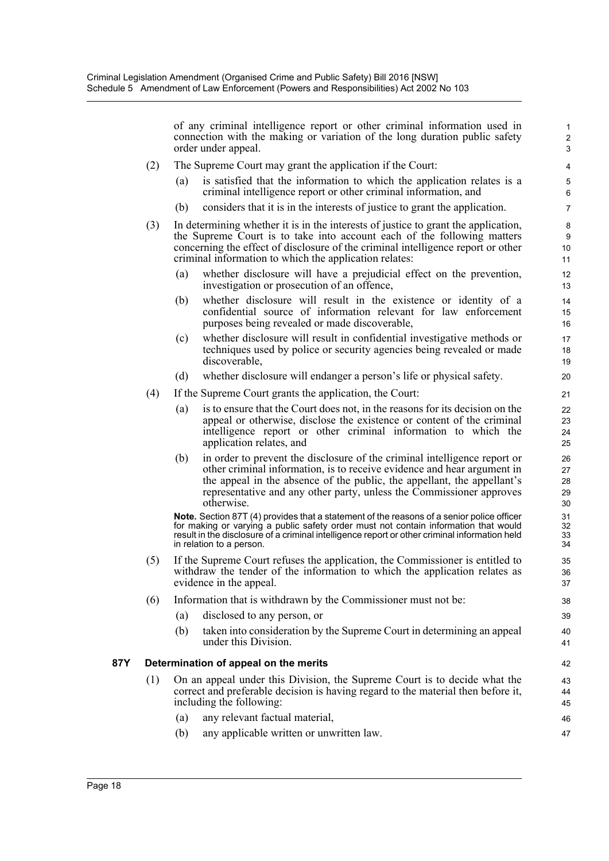of any criminal intelligence report or other criminal information used in connection with the making or variation of the long duration public safety order under appeal.

47

- (2) The Supreme Court may grant the application if the Court:
	- (a) is satisfied that the information to which the application relates is a criminal intelligence report or other criminal information, and
	- (b) considers that it is in the interests of justice to grant the application.
- (3) In determining whether it is in the interests of justice to grant the application, the Supreme Court is to take into account each of the following matters concerning the effect of disclosure of the criminal intelligence report or other criminal information to which the application relates:
	- (a) whether disclosure will have a prejudicial effect on the prevention, investigation or prosecution of an offence,
	- (b) whether disclosure will result in the existence or identity of a confidential source of information relevant for law enforcement purposes being revealed or made discoverable,
	- (c) whether disclosure will result in confidential investigative methods or techniques used by police or security agencies being revealed or made discoverable,
	- (d) whether disclosure will endanger a person's life or physical safety.
- (4) If the Supreme Court grants the application, the Court:
	- (a) is to ensure that the Court does not, in the reasons for its decision on the appeal or otherwise, disclose the existence or content of the criminal intelligence report or other criminal information to which the application relates, and
	- (b) in order to prevent the disclosure of the criminal intelligence report or other criminal information, is to receive evidence and hear argument in the appeal in the absence of the public, the appellant, the appellant's representative and any other party, unless the Commissioner approves otherwise.

**Note.** Section 87T (4) provides that a statement of the reasons of a senior police officer for making or varying a public safety order must not contain information that would result in the disclosure of a criminal intelligence report or other criminal information held in relation to a person.

- (5) If the Supreme Court refuses the application, the Commissioner is entitled to withdraw the tender of the information to which the application relates as evidence in the appeal.
- (6) Information that is withdrawn by the Commissioner must not be:
	- (a) disclosed to any person, or
	- (b) taken into consideration by the Supreme Court in determining an appeal under this Division.

#### **87Y Determination of appeal on the merits**

- (1) On an appeal under this Division, the Supreme Court is to decide what the correct and preferable decision is having regard to the material then before it, including the following:
	- (a) any relevant factual material, 46
	- (b) any applicable written or unwritten law.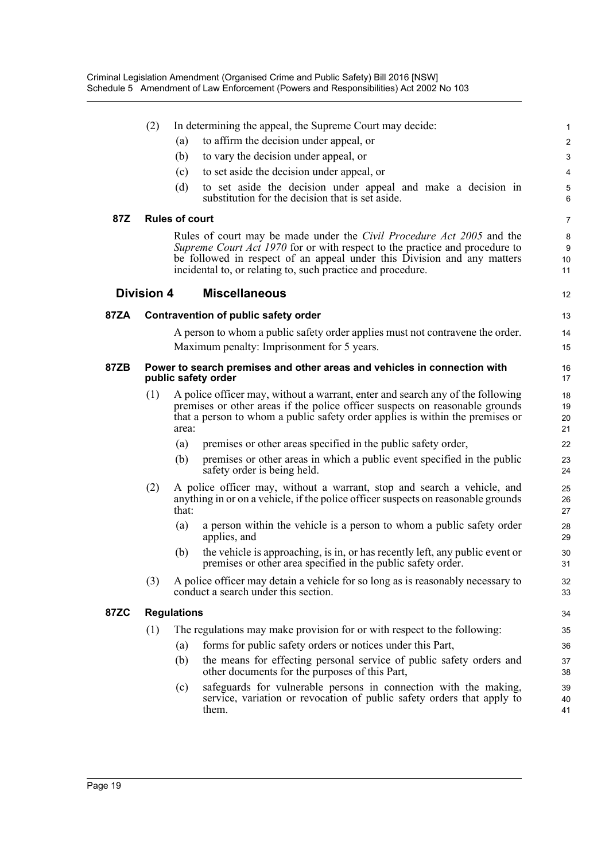|             | (2)                                                                                                                                                                                                                                                                                                   |                                                                                                                                                                       | In determining the appeal, the Supreme Court may decide:                                                                                                                                                                                        | 1                    |  |  |
|-------------|-------------------------------------------------------------------------------------------------------------------------------------------------------------------------------------------------------------------------------------------------------------------------------------------------------|-----------------------------------------------------------------------------------------------------------------------------------------------------------------------|-------------------------------------------------------------------------------------------------------------------------------------------------------------------------------------------------------------------------------------------------|----------------------|--|--|
|             |                                                                                                                                                                                                                                                                                                       | (a)                                                                                                                                                                   | to affirm the decision under appeal, or                                                                                                                                                                                                         | $\overline{c}$       |  |  |
|             |                                                                                                                                                                                                                                                                                                       | (b)                                                                                                                                                                   | to vary the decision under appeal, or                                                                                                                                                                                                           | 3                    |  |  |
|             |                                                                                                                                                                                                                                                                                                       | (c)                                                                                                                                                                   | to set aside the decision under appeal, or                                                                                                                                                                                                      | 4                    |  |  |
|             |                                                                                                                                                                                                                                                                                                       | (d)                                                                                                                                                                   | to set aside the decision under appeal and make a decision in<br>substitution for the decision that is set aside.                                                                                                                               | 5<br>6               |  |  |
| 87Z         | <b>Rules of court</b>                                                                                                                                                                                                                                                                                 |                                                                                                                                                                       |                                                                                                                                                                                                                                                 |                      |  |  |
|             | Rules of court may be made under the <i>Civil Procedure Act</i> 2005 and the<br>Supreme Court Act 1970 for or with respect to the practice and procedure to<br>be followed in respect of an appeal under this Division and any matters<br>incidental to, or relating to, such practice and procedure. |                                                                                                                                                                       |                                                                                                                                                                                                                                                 |                      |  |  |
|             | <b>Division 4</b>                                                                                                                                                                                                                                                                                     |                                                                                                                                                                       | <b>Miscellaneous</b>                                                                                                                                                                                                                            | 12                   |  |  |
| 87ZA        | Contravention of public safety order                                                                                                                                                                                                                                                                  |                                                                                                                                                                       |                                                                                                                                                                                                                                                 |                      |  |  |
|             |                                                                                                                                                                                                                                                                                                       |                                                                                                                                                                       | A person to whom a public safety order applies must not contravene the order.                                                                                                                                                                   | 14                   |  |  |
|             |                                                                                                                                                                                                                                                                                                       |                                                                                                                                                                       | Maximum penalty: Imprisonment for 5 years.                                                                                                                                                                                                      | 15                   |  |  |
| 87ZB        | Power to search premises and other areas and vehicles in connection with<br>public safety order                                                                                                                                                                                                       |                                                                                                                                                                       |                                                                                                                                                                                                                                                 |                      |  |  |
|             | (1)                                                                                                                                                                                                                                                                                                   | area:                                                                                                                                                                 | A police officer may, without a warrant, enter and search any of the following<br>premises or other areas if the police officer suspects on reasonable grounds<br>that a person to whom a public safety order applies is within the premises or | 18<br>19<br>20<br>21 |  |  |
|             |                                                                                                                                                                                                                                                                                                       | (a)                                                                                                                                                                   | premises or other areas specified in the public safety order,                                                                                                                                                                                   | 22                   |  |  |
|             |                                                                                                                                                                                                                                                                                                       | (b)                                                                                                                                                                   | premises or other areas in which a public event specified in the public<br>safety order is being held.                                                                                                                                          | 23<br>24             |  |  |
|             | (2)                                                                                                                                                                                                                                                                                                   | A police officer may, without a warrant, stop and search a vehicle, and<br>anything in or on a vehicle, if the police officer suspects on reasonable grounds<br>that: |                                                                                                                                                                                                                                                 |                      |  |  |
|             |                                                                                                                                                                                                                                                                                                       | (a)                                                                                                                                                                   | a person within the vehicle is a person to whom a public safety order<br>applies, and                                                                                                                                                           | 28<br>29             |  |  |
|             |                                                                                                                                                                                                                                                                                                       | (b)                                                                                                                                                                   | the vehicle is approaching, is in, or has recently left, any public event or<br>premises or other area specified in the public safety order.                                                                                                    | 30<br>31             |  |  |
|             | (3)                                                                                                                                                                                                                                                                                                   |                                                                                                                                                                       | A police officer may detain a vehicle for so long as is reasonably necessary to<br>conduct a search under this section.                                                                                                                         | 32<br>33             |  |  |
| <b>87ZC</b> | <b>Regulations</b>                                                                                                                                                                                                                                                                                    |                                                                                                                                                                       |                                                                                                                                                                                                                                                 |                      |  |  |
|             | (1)                                                                                                                                                                                                                                                                                                   |                                                                                                                                                                       | The regulations may make provision for or with respect to the following:                                                                                                                                                                        | 35                   |  |  |
|             |                                                                                                                                                                                                                                                                                                       | (a)                                                                                                                                                                   | forms for public safety orders or notices under this Part,                                                                                                                                                                                      | 36                   |  |  |
|             |                                                                                                                                                                                                                                                                                                       | (b)                                                                                                                                                                   | the means for effecting personal service of public safety orders and<br>other documents for the purposes of this Part,                                                                                                                          | 37<br>38             |  |  |
|             |                                                                                                                                                                                                                                                                                                       | (c)                                                                                                                                                                   | safeguards for vulnerable persons in connection with the making,<br>service, variation or revocation of public safety orders that apply to<br>them.                                                                                             | 39<br>40<br>41       |  |  |